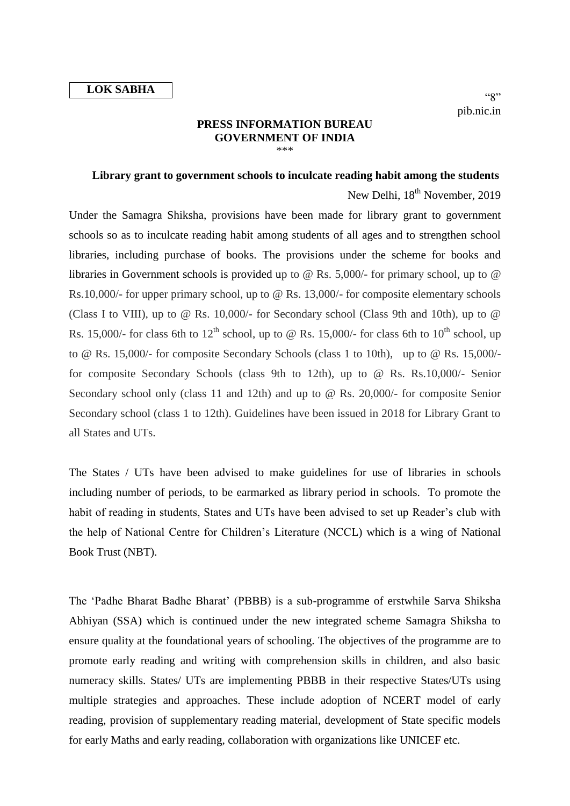## **PRESS INFORMATION BUREAU GOVERNMENT OF INDIA** \*\*\*

## **Library grant to government schools to inculcate reading habit among the students**

New Delhi, 18<sup>th</sup> November, 2019 Under the Samagra Shiksha, provisions have been made for library grant to government schools so as to inculcate reading habit among students of all ages and to strengthen school libraries, including purchase of books. The provisions under the scheme for books and libraries in Government schools is provided up to @ Rs. 5,000/- for primary school, up to @ Rs.10,000/- for upper primary school, up to @ Rs. 13,000/- for composite elementary schools (Class I to VIII), up to @ Rs. 10,000/- for Secondary school (Class 9th and 10th), up to @ Rs. 15,000/- for class 6th to  $12^{th}$  school, up to @ Rs. 15,000/- for class 6th to  $10^{th}$  school, up to @ Rs. 15,000/- for composite Secondary Schools (class 1 to 10th), up to @ Rs. 15,000/ for composite Secondary Schools (class 9th to 12th), up to @ Rs. Rs.10,000/- Senior Secondary school only (class 11 and 12th) and up to @ Rs. 20,000/- for composite Senior Secondary school (class 1 to 12th). Guidelines have been issued in 2018 for Library Grant to all States and UTs.

The States / UTs have been advised to make guidelines for use of libraries in schools including number of periods, to be earmarked as library period in schools. To promote the habit of reading in students, States and UTs have been advised to set up Reader's club with the help of National Centre for Children's Literature (NCCL) which is a wing of National Book Trust (NBT).

The 'Padhe Bharat Badhe Bharat' (PBBB) is a sub-programme of erstwhile Sarva Shiksha Abhiyan (SSA) which is continued under the new integrated scheme Samagra Shiksha to ensure quality at the foundational years of schooling. The objectives of the programme are to promote early reading and writing with comprehension skills in children, and also basic numeracy skills. States/ UTs are implementing PBBB in their respective States/UTs using multiple strategies and approaches. These include adoption of NCERT model of early reading, provision of supplementary reading material, development of State specific models for early Maths and early reading, collaboration with organizations like UNICEF etc.

 $(3"')$ pib.nic.in